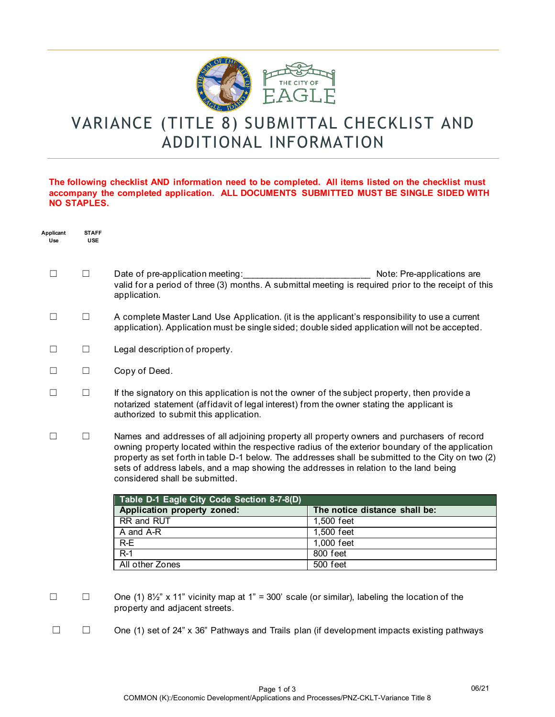

## VARIANCE (TITLE 8) SUBMITTAL CHECKLIST AND ADDITIONAL INFORMATION

## **The following checklist AND information need to be completed. All items listed on the checklist must accompany the completed application. ALL DOCUMENTS SUBMITTED MUST BE SINGLE SIDED WITH NO STAPLES.**

| Applicant<br>Use | <b>STAFF</b><br><b>USE</b> |                                                                                                                                                                                                                                                                                                                                                                                                                                |                               |  |
|------------------|----------------------------|--------------------------------------------------------------------------------------------------------------------------------------------------------------------------------------------------------------------------------------------------------------------------------------------------------------------------------------------------------------------------------------------------------------------------------|-------------------------------|--|
| $\Box$           | $\Box$                     | Date of pre-application meeting:<br>valid for a period of three (3) months. A submittal meeting is required prior to the receipt of this<br>application.                                                                                                                                                                                                                                                                       | Note: Pre-applications are    |  |
| $\Box$           | $\Box$                     | A complete Master Land Use Application. (it is the applicant's responsibility to use a current<br>application). Application must be single sided; double sided application will not be accepted.                                                                                                                                                                                                                               |                               |  |
| $\Box$           | $\Box$                     | Legal description of property.                                                                                                                                                                                                                                                                                                                                                                                                 |                               |  |
| $\perp$          | $\Box$                     | Copy of Deed.                                                                                                                                                                                                                                                                                                                                                                                                                  |                               |  |
| $\Box$           | $\Box$                     | If the signatory on this application is not the owner of the subject property, then provide a<br>notarized statement (affidavit of legal interest) from the owner stating the applicant is<br>authorized to submit this application.                                                                                                                                                                                           |                               |  |
| $\Box$           | $\Box$                     | Names and addresses of all adjoining property all property owners and purchasers of record<br>owning property located within the respective radius of the exterior boundary of the application<br>property as set forth in table D-1 below. The addresses shall be submitted to the City on two (2)<br>sets of address labels, and a map showing the addresses in relation to the land being<br>considered shall be submitted. |                               |  |
|                  |                            | Table D-1 Eagle City Code Section 8-7-8(D)                                                                                                                                                                                                                                                                                                                                                                                     |                               |  |
|                  |                            | Application property zoned:                                                                                                                                                                                                                                                                                                                                                                                                    | The notice distance shall be: |  |
|                  |                            | RR and RUT                                                                                                                                                                                                                                                                                                                                                                                                                     | 1,500 feet                    |  |
|                  |                            | A and A-R                                                                                                                                                                                                                                                                                                                                                                                                                      | 1,500 feet                    |  |
|                  |                            | $R-E$                                                                                                                                                                                                                                                                                                                                                                                                                          | 1,000 feet                    |  |
|                  |                            | $R-1$                                                                                                                                                                                                                                                                                                                                                                                                                          | 800 feet                      |  |
|                  |                            | All other Zones                                                                                                                                                                                                                                                                                                                                                                                                                | 500 feet                      |  |
| $\Box$           | $\Box$                     | One (1) $8\frac{1}{2}$ " x 11" vicinity map at 1" = 300' scale (or similar), labeling the location of the<br>property and adjacent streets.                                                                                                                                                                                                                                                                                    |                               |  |

☐ ☐ One (1) set of 24" x 36" Pathways and Trails plan (if development impacts existing pathways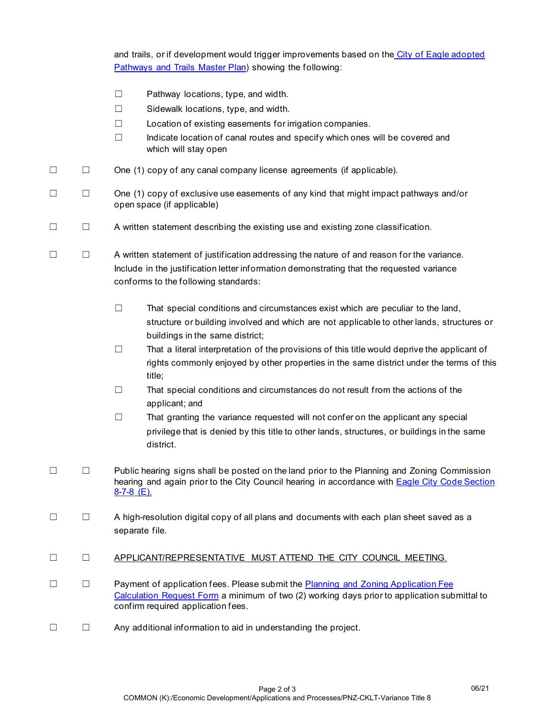|        |        | and trails, or if development would trigger improvements based on the City of Eagle adopted<br>Pathways and Trails Master Plan) showing the following:                                                                                                                             |  |
|--------|--------|------------------------------------------------------------------------------------------------------------------------------------------------------------------------------------------------------------------------------------------------------------------------------------|--|
|        |        | $\Box$<br>Pathway locations, type, and width.<br>$\Box$<br>Sidewalk locations, type, and width.<br>Location of existing easements for irrigation companies.<br>$\Box$<br>Indicate location of canal routes and specify which ones will be covered and<br>□<br>which will stay open |  |
| $\Box$ | $\Box$ | One (1) copy of any canal company license agreements (if applicable).                                                                                                                                                                                                              |  |
| $\Box$ | $\Box$ | One (1) copy of exclusive use easements of any kind that might impact pathways and/or<br>open space (if applicable)                                                                                                                                                                |  |
| $\Box$ | $\Box$ | A written statement describing the existing use and existing zone classification.                                                                                                                                                                                                  |  |
| $\Box$ | $\Box$ | A written statement of justification addressing the nature of and reason for the variance.<br>Include in the justification letter information demonstrating that the requested variance<br>conforms to the following standards:                                                    |  |
|        |        | $\Box$<br>That special conditions and circumstances exist which are peculiar to the land,<br>structure or building involved and which are not applicable to other lands, structures or<br>buildings in the same district;                                                          |  |
|        |        | That a literal interpretation of the provisions of this title would deprive the applicant of<br>$\Box$<br>rights commonly enjoyed by other properties in the same district under the terms of this<br>title;                                                                       |  |
|        |        | That special conditions and circumstances do not result from the actions of the<br>$\Box$<br>applicant; and                                                                                                                                                                        |  |
|        |        | That granting the variance requested will not confer on the applicant any special<br>$\Box$<br>privilege that is denied by this title to other lands, structures, or buildings in the same<br>district.                                                                            |  |
| $\Box$ | $\Box$ | Public hearing signs shall be posted on the land prior to the Planning and Zoning Commission<br>hearing and again prior to the City Council hearing in accordance with <b>Eagle City Code Section</b><br>$8 - 7 - 8$ (E).                                                          |  |
| $\Box$ | $\Box$ | A high-resolution digital copy of all plans and documents with each plan sheet saved as a<br>separate file.                                                                                                                                                                        |  |
| $\Box$ | $\Box$ | APPLICANT/REPRESENTATIVE MUST ATTEND THE CITY COUNCIL MEETING.                                                                                                                                                                                                                     |  |
| $\Box$ | $\Box$ | Payment of application fees. Please submit the <b>Planning and Zoning Application Fee</b><br>Calculation Request Form a minimum of two (2) working days prior to application submittal to<br>confirm required application fees.                                                    |  |

☐ ☐ Any additional information to aid in understanding the project.